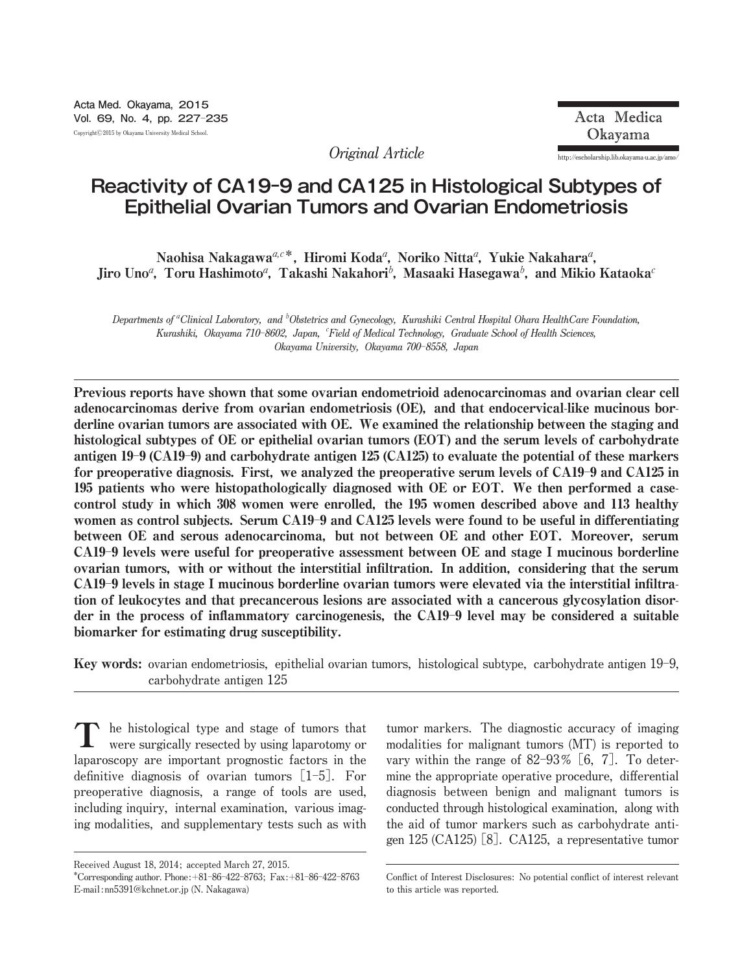**Original Article http:**//**escholarship.lib.okayama**-**u.ac.jp**/**amo**/

# **Reactivity of CA19-9 and CA125 in Histological Subtypes of Epithelial Ovarian Tumors and Ovarian Endometriosis**

Naohisa Nakagawa<sup>a,c\*</sup>, Hiromi Koda<sup>a</sup>, Noriko Nitta<sup>a</sup>, Yukie Nakahara<sup>a</sup>, Jiro Uno ${}^a$ , Toru Hashimoto ${}^a$ , Takashi Nakahori ${}^b$ , Masaaki Hasegawa ${}^b$ , and Mikio Kataoka ${}^c$ 

**Departments of** <sup>a</sup> **Clinical Laboratory, and** <sup>b</sup> **Obstetrics and Gynecology, Kurashiki Central Hospital Ohara HealthCare Foundation, Kurashiki, Okayama 710**-**8602, Japan,** <sup>c</sup> **Field of Medical Technology, Graduate School of Health Sciences, Okayama University, Okayama 700**-**8558, Japan**

Previous reports have shown that some ovarian endometrioid adenocarcinomas and ovarian clear cell adenocarcinomas derive from ovarian endometriosis (OE), and that endocervical-like mucinous borderline ovarian tumors are associated with OE. We examined the relationship between the staging and histological subtypes of OE or epithelial ovarian tumors (EOT) and the serum levels of carbohydrate antigen 19-9 (CA19-9) and carbohydrate antigen 125 (CA125) to evaluate the potential of these markers for preoperative diagnosis. First, we analyzed the preoperative serum levels of CA19-9 and CA125 in 195 patients who were histopathologically diagnosed with OE or EOT. We then performed a casecontrol study in which 308 women were enrolled, the 195 women described above and 113 healthy women as control subjects. Serum CA19-9 and CA125 levels were found to be useful in differentiating between OE and serous adenocarcinoma, but not between OE and other EOT. Moreover, serum CA19-9 levels were useful for preoperative assessment between OE and stage I mucinous borderline ovarian tumors, with or without the interstitial infiltration. In addition, considering that the serum CA19-9 levels in stage I mucinous borderline ovarian tumors were elevated via the interstitial infiltration of leukocytes and that precancerous lesions are associated with a cancerous glycosylation disorder in the process of inflammatory carcinogenesis, the CA19-9 level may be considered a suitable biomarker for estimating drug susceptibility.

Key words: **ovarian endometriosis, epithelial ovarian tumors, histological subtype, carbohydrate antigen 19**-**9, carbohydrate antigen 125**

**he histological type and stage of tumors that were surgically resected by using laparotomy or laparoscopy are important prognostic factors in the definitive diagnosis of ovarian tumors** [**1**-**5**]**. For preoperative diagnosis, a range of tools are used, including inquiry, internal examination, various imaging modalities, and supplementary tests such as with** T

**tumor markers. The diagnostic accuracy of imaging modalities for malignant tumors (MT) is reported to vary within the range of 82**-**93**オ [**6, 7**]**. To determine the appropriate operative procedure, differential diagnosis between benign and malignant tumors is conducted through histological examination, along with the aid of tumor markers such as carbohydrate antigen 125 (CA125)** [**8**]**. CA125, a representative tumor**

**Received August 18, 2014; accepted March 27, 2015.**

**<sup>\*</sup>Corresponding author. Phone:**+**81**ン**86**ン**422**ン**8763; Fax:**+**81**ン**86**ン**422**ン**8763 E**-**mail:nn5391@kchnet.or.jp (N. Nakagawa)**

**Conflict of Interest Disclosures: No potential conflict of interest relevant to this article was reported.**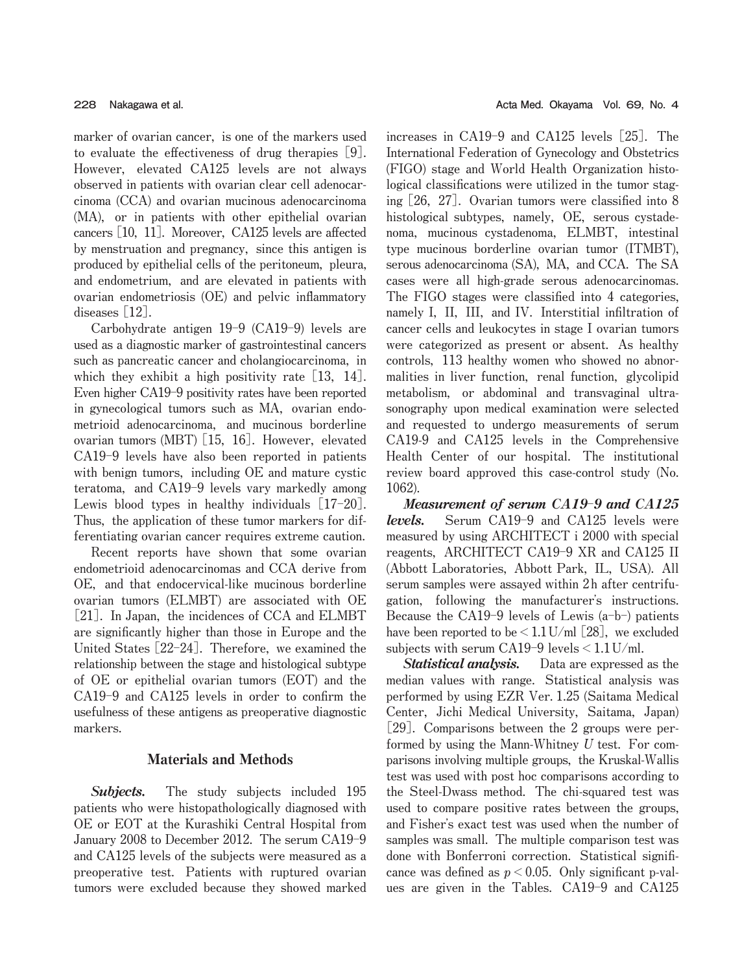**marker of ovarian cancer, is one of the markers used to evaluate the effectiveness of drug therapies** [**9**]**. However, elevated CA125 levels are not always observed in patients with ovarian clear cell adenocarcinoma (CCA) and ovarian mucinous adenocarcinoma (MA), or in patients with other epithelial ovarian cancers** [**10, 11**]**. Moreover, CA125 levels are affected by menstruation and pregnancy, since this antigen is produced by epithelial cells of the peritoneum, pleura, and endometrium, and are elevated in patients with ovarian endometriosis (OE) and pelvic inflammatory diseases** [**12**]**.**

**Carbohydrate antigen 19**-**9 (CA19**-**9) levels are used as a diagnostic marker of gastrointestinal cancers such as pancreatic cancer and cholangiocarcinoma, in which they exhibit a high positivity rate** [**13, 14**]**. Even higher CA19**-**9 positivity rates have been reported in gynecological tumors such as MA, ovarian endometrioid adenocarcinoma, and mucinous borderline ovarian tumors (MBT)** [**15, 16**]**. However, elevated CA19**-**9 levels have also been reported in patients with benign tumors, including OE and mature cystic teratoma, and CA19**-**9 levels vary markedly among Lewis blood types in healthy individuals** [**17**-**20**]**. Thus, the application of these tumor markers for differentiating ovarian cancer requires extreme caution.**

**Recent reports have shown that some ovarian endometrioid adenocarcinomas and CCA derive from OE, and that endocervical**-**like mucinous borderline ovarian tumors (ELMBT) are associated with OE** [**21**]**. In Japan, the incidences of CCA and ELMBT are significantly higher than those in Europe and the United States** [**22**-**24**]**. Therefore, we examined the relationship between the stage and histological subtype of OE or epithelial ovarian tumors (EOT) and the CA19**-**9 and CA125 levels in order to confirm the usefulness of these antigens as preoperative diagnostic markers.**

# Materials and Methods

Subjects. **The study subjects included 195 patients who were histopathologically diagnosed with OE or EOT at the Kurashiki Central Hospital from January 2008 to December 2012. The serum CA19**-**9 and CA125 levels of the subjects were measured as a preoperative test. Patients with ruptured ovarian tumors were excluded because they showed marked** **increases in CA19**-**9 and CA125 levels** [**25**]**. The International Federation of Gynecology and Obstetrics (FIGO) stage and World Health Organization histological classifications were utilized in the tumor staging** [**26, 27**]**. Ovarian tumors were classified into 8 histological subtypes, namely, OE, serous cystadenoma, mucinous cystadenoma, ELMBT, intestinal type mucinous borderline ovarian tumor (ITMBT), serous adenocarcinoma (SA), MA, and CCA. The SA cases were all high**-**grade serous adenocarcinomas. The FIGO stages were classified into 4 categories, namely I, II, III, and IV. Interstitial infiltration of cancer cells and leukocytes in stage I ovarian tumors were categorized as present or absent. As healthy controls, 113 healthy women who showed no abnormalities in liver function, renal function, glycolipid metabolism, or abdominal and transvaginal ultrasonography upon medical examination were selected and requested to undergo measurements of serum CA19**-**9 and CA125 levels in the Comprehensive Health Center of our hospital. The institutional review board approved this case**-**control study (No. 1062).**

Measurement of serum CA19-9 and CA125 levels. **Serum CA19**-**9 and CA125 levels were measured by using ARCHITECT i 2000 with special reagents, ARCHITECT CA19**-**9 XR and CA125 II (Abbott Laboratories, Abbott Park, IL, USA). All serum samples were assayed within 2h after centrifugation, following the manufacturer**'**s instructions. Because the CA19**-**9 levels of Lewis (a**-**b**-**) patients have been reported to be**<**1.1U**/**ml** [**28**]**, we excluded subjects with serum CA19**-**9 levels**<**1.1U**/**ml.**

Statistical analysis. **Data are expressed as the median values with range. Statistical analysis was performed by using EZR Ver. 1.25 (Saitama Medical Center, Jichi Medical University, Saitama, Japan)** [**29**]**. Comparisons between the 2 groups were performed by using the Mann**-**Whitney U test. For comparisons involving multiple groups, the Kruskal**-**Wallis test was used with post hoc comparisons according to the Steel**-**Dwass method. The chi**-**squared test was used to compare positive rates between the groups, and Fisher**'**s exact test was used when the number of samples was small. The multiple comparison test was done with Bonferroni correction. Statistical significance was defined as p**<**0.05. Only significant p**-**values are given in the Tables. CA19**-**9 and CA125**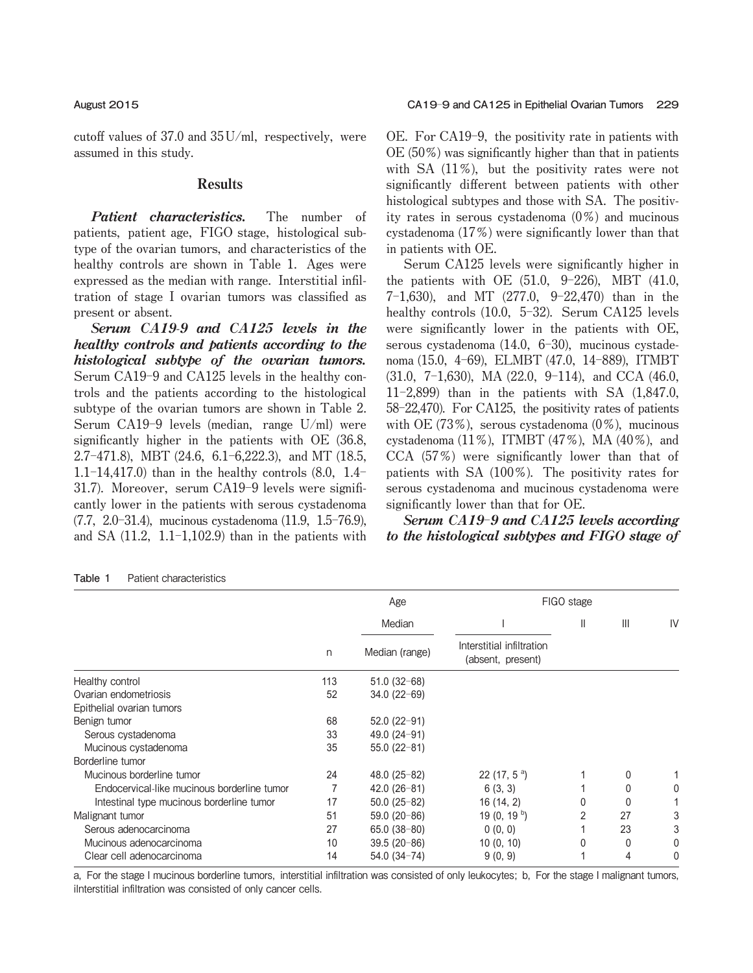**cutoff values of 37.0 and 35U**/**ml, respectively, were assumed in this study.**

## Results

Patient characteristics. **The number of patients, patient age, FIGO stage, histological subtype of the ovarian tumors, and characteristics of the healthy controls are shown in Table 1. Ages were expressed as the median with range. Interstitial infiltration of stage I ovarian tumors was classified as present or absent.**

Serum CA19-9 and CA125 levels in the healthy controls and patients according to the histological subtype of the ovarian tumors. **Serum CA19**-**9 and CA125 levels in the healthy controls and the patients according to the histological subtype of the ovarian tumors are shown in Table 2. Serum CA19**-**9 levels (median, range U**/**ml) were significantly higher in the patients with OE (36.8, 2.7**-**471.8), MBT (24.6, 6.1**-**6,222.3), and MT (18.5, 1.1**-**14,417.0) than in the healthy controls (8.0, 1.4**- **31.7). Moreover, serum CA19**-**9 levels were significantly lower in the patients with serous cystadenoma (7.7, 2.0**-**31.4), mucinous cystadenoma (11.9, 1.5**-**76.9), and SA (11.2, 1.1**-**1,102.9) than in the patients with** **OE. For CA19**-**9, the positivity rate in patients with OE (50**オ**) was significantly higher than that in patients with SA (11**オ**), but the positivity rates were not significantly different between patients with other histological subtypes and those with SA. The positivity rates in serous cystadenoma (0**オ**) and mucinous cystadenoma (17**オ**) were significantly lower than that in patients with OE.**

**Serum CA125 levels were significantly higher in the patients with OE (51.0, 9**-**226), MBT (41.0, 7**-**1,630), and MT (277.0, 9**-**22,470) than in the healthy controls (10.0, 5**-**32). Serum CA125 levels were significantly lower in the patients with OE, serous cystadenoma (14.0, 6**-**30), mucinous cystadenoma (15.0, 4**-**69), ELMBT (47.0, 14**-**889), ITMBT (31.0, 7**-**1,630), MA (22.0, 9**-**114), and CCA (46.0, 11**-**2,899) than in the patients with SA (1,847.0, 58**-**22,470). For CA125, the positivity rates of patients with OE (73**オ**), serous cystadenoma (0**オ**), mucinous cystadenoma (11**オ**), ITMBT (47**オ**), MA (40**オ**), and CCA (57**オ**) were significantly lower than that of patients with SA (100**オ**). The positivity rates for serous cystadenoma and mucinous cystadenoma were significantly lower than that for OE.**

Serum CA19-9 and CA125 levels according to the histological subtypes and FIGO stage of

| Patient characteristics<br>Table 1 |
|------------------------------------|
|------------------------------------|

|                                             |     | Age            |                                                | FIGO stage |                |    |
|---------------------------------------------|-----|----------------|------------------------------------------------|------------|----------------|----|
|                                             |     | Median         |                                                | Ш          | $\mathbf{III}$ | IV |
|                                             | n   | Median (range) | Interstitial infiltration<br>(absent, present) |            |                |    |
| Healthy control                             | 113 | $51.0(32-68)$  |                                                |            |                |    |
| Ovarian endometriosis                       | 52  | $34.0(22-69)$  |                                                |            |                |    |
| Epithelial ovarian tumors                   |     |                |                                                |            |                |    |
| Benign tumor                                | 68  | $52.0(22-91)$  |                                                |            |                |    |
| Serous cystadenoma                          | 33  | 49.0 $(24-91)$ |                                                |            |                |    |
| Mucinous cystadenoma                        | 35  | $55.0(22-81)$  |                                                |            |                |    |
| Borderline tumor                            |     |                |                                                |            |                |    |
| Mucinous borderline tumor                   | 24  | $48.0(25-82)$  | 22 (17, $5^{\circ}$ )                          |            | 0              |    |
| Endocervical-like mucinous borderline tumor |     | $42.0(26-81)$  | 6(3, 3)                                        |            | 0              | 0  |
| Intestinal type mucinous borderline tumor   | 17  | $50.0(25-82)$  | 16(14, 2)                                      | 0          | 0              |    |
| Malignant tumor                             | 51  | $59.0(20-86)$  | 19 (0, 19 $^{\mathrm{b}}$ )                    | 2          | 27             | 3  |
| Serous adenocarcinoma                       | 27  | $65.0(38-80)$  | 0(0, 0)                                        |            | 23             | 3  |
| Mucinous adenocarcinoma                     | 10  | $39.5(20-86)$  | 10(0, 10)                                      | 0          | 0              | 0  |
| Clear cell adenocarcinoma                   | 14  | $54.0(34-74)$  | 9(0, 9)                                        |            | 4              | 0  |

a, For the stage I mucinous borderline tumors, interstitial infiltration was consisted of only leukocytes; b, For the stage I malignant tumors, ilnterstitial infiltration was consisted of only cancer cells.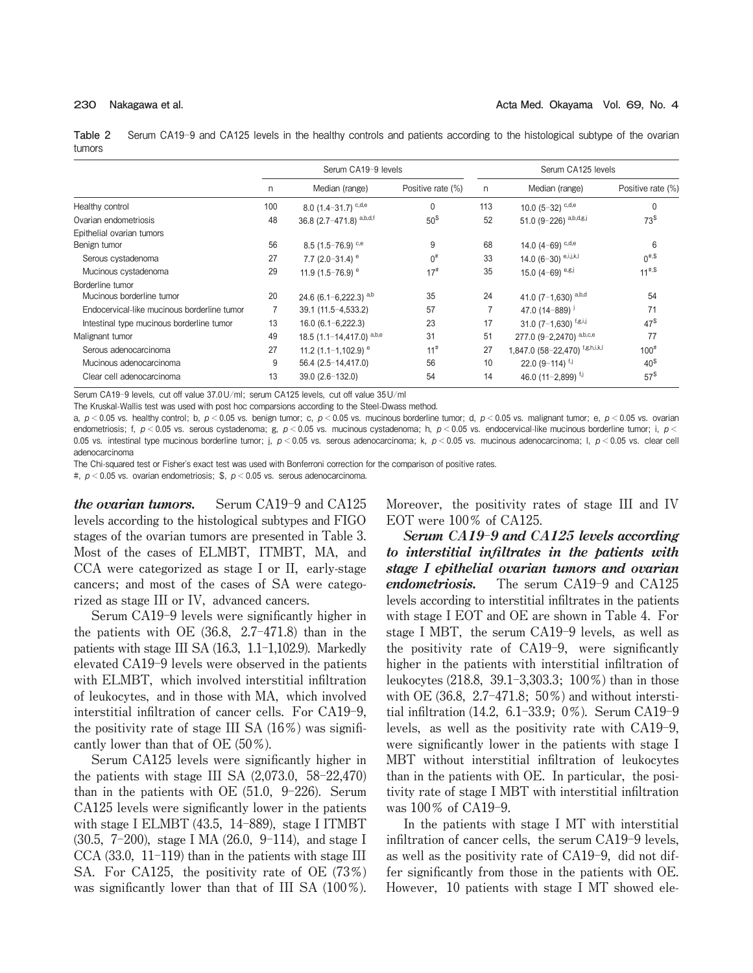**Table 2** Serum CA19-9 and CA125 levels in the healthy controls and patients according to the histological subtype of the ovarian tumors

|                                             | Serum CA19-9 levels |                                          |                   |     | Serum CA125 levels              |                   |  |  |
|---------------------------------------------|---------------------|------------------------------------------|-------------------|-----|---------------------------------|-------------------|--|--|
|                                             | n                   | Median (range)                           | Positive rate (%) | n   | Median (range)                  | Positive rate (%) |  |  |
| Healthy control                             | 100                 | 8.0 $(1.4 - 31.7)$ <sup>c,d,e</sup>      | $\mathbf{0}$      | 113 | 10.0 $(5-32)$ c,d,e             | $\Omega$          |  |  |
| Ovarian endometriosis                       | 48                  | 36.8 $(2.7 - 471.8)$ a,b,d,f             | 50 <sup>§</sup>   | 52  | 51.0 $(9-226)$ a,b,d,g,j        | 73 <sup>§</sup>   |  |  |
| Epithelial ovarian tumors                   |                     |                                          |                   |     |                                 |                   |  |  |
| Benign tumor                                | 56                  | 8.5 $(1.5 - 76.9)$ <sup>c,e</sup>        | 9                 | 68  | 14.0 $(4-69)$ c,d,e             | 6                 |  |  |
| Serous cystadenoma                          | 27                  | 7.7 (2.0-31.4) $^{\circ}$                | $0^{\#}$          | 33  | 14.0 $(6-30)$ e,i,j,k,l         | $0^{*,\$}$        |  |  |
| Mucinous cystadenoma                        | 29                  | 11.9 $(1.5-76.9)$ <sup>e</sup>           | $17^{\#}$         | 35  | 15.0 $(4-69)$ e,g,j             | $11^{*,\$}$       |  |  |
| Borderline tumor                            |                     |                                          |                   |     |                                 |                   |  |  |
| Mucinous borderline tumor                   | 20                  | 24.6 (6.1-6,222.3) $a,b$                 | 35                | 24  | 41.0 $(7-1,630)$ a,b,d          | 54                |  |  |
| Endocervical-like mucinous borderline tumor |                     | $39.1(11.5-4.533.2)$                     | 57                | 7   | 47.0 (14-889)                   | 71                |  |  |
| Intestinal type mucinous borderline tumor   | 13                  | $16.0(6.1 - 6.222.3)$                    | 23                | 17  | 31.0 $(7-1,630)$ f,g,i,j        | 47 <sup>§</sup>   |  |  |
| Malignant tumor                             | 49                  | 18.5 $(1.1 - 14.417.0)$ <sup>a,b,e</sup> | 31                | 51  | 277.0 (9-2,2470) a,b,c,e        | 77                |  |  |
| Serous adenocarcinoma                       | 27                  | 11.2 $(1.1 - 1.102.9)$ <sup>e</sup>      | $11^{\#}$         | 27  | 1,847.0 (58-22,470) f,g,h,i,k,l | $100^{\#}$        |  |  |
| Mucinous adenocarcinoma                     | 9                   | $56.4(2.5 - 14.417.0)$                   | 56                | 10  | 22.0 $(9-114)^{f,j}$            | 40 <sup>⁵</sup>   |  |  |
| Clear cell adenocarcinoma                   | 13                  | $39.0(2.6-132.0)$                        | 54                | 14  | 46.0 (11-2.899) $f$ ,           | 57 <sup>§</sup>   |  |  |

Serum CA19-9 levels, cut off value 37.0U/ml; serum CA125 levels, cut off value 35U/ml

The Kruskal-Wallis test was used with post hoc comparsions according to the Steel-Dwass method.

a,  $p < 0.05$  vs. healthy control; b,  $p < 0.05$  vs. benign tumor; c,  $p < 0.05$  vs. mucinous borderline tumor; d,  $p < 0.05$  vs. malignant tumor; e,  $p < 0.05$  vs. ovarian endometriosis; f,  $p < 0.05$  vs. serous cystadenoma; g,  $p < 0.05$  vs. mucinous cystadenoma; h,  $p < 0.05$  vs. endocervical-like mucinous borderline tumor; i,  $p <$ 0.05 vs. intestinal type mucinous borderline tumor; j,  $p < 0.05$  vs. serous adenocarcinoma; k,  $p < 0.05$  vs. mucinous adenocarcinoma; l,  $p < 0.05$  vs. clear cell adenocarcinoma

The Chi-squared test or Fisher's exact test was used with Bonferroni correction for the comparison of positive rates.

#,  $p < 0.05$  vs. ovarian endometriosis; \$,  $p < 0.05$  vs. serous adenocarcinoma.

the ovarian tumors. **Serum CA19**-**9 and CA125 levels according to the histological subtypes and FIGO stages of the ovarian tumors are presented in Table 3. Most of the cases of ELMBT, ITMBT, MA, and CCA were categorized as stage I or II, early**-**stage cancers; and most of the cases of SA were categorized as stage III or IV, advanced cancers.**

**Serum CA19**-**9 levels were significantly higher in the patients with OE (36.8, 2.7**-**471.8) than in the patients with stage III SA (16.3, 1.1**-**1,102.9). Markedly elevated CA19**-**9 levels were observed in the patients with ELMBT, which involved interstitial infiltration of leukocytes, and in those with MA, which involved interstitial infiltration of cancer cells. For CA19**-**9, the positivity rate of stage III SA (16**オ**) was significantly lower than that of OE (50**オ**).**

**Serum CA125 levels were significantly higher in the patients with stage III SA (2,073.0, 58**-**22,470) than in the patients with OE (51.0, 9**-**226). Serum CA125 levels were significantly lower in the patients with stage I ELMBT (43.5, 14**-**889), stage I ITMBT (30.5, 7**-**200), stage I MA (26.0, 9**-**114), and stage I CCA (33.0, 11**-**119) than in the patients with stage III SA. For CA125, the positivity rate of OE (73**オ**) was significantly lower than that of III SA (100**オ**).** **Moreover, the positivity rates of stage III and IV EOT were 100**オ **of CA125.**

Serum CA19-9 and CA125 levels according to interstitial infiltrates in the patients with stage I epithelial ovarian tumors and ovarian endometriosis. **The serum CA19**-**9 and CA125 levels according to interstitial infiltrates in the patients with stage I EOT and OE are shown in Table 4. For stage I MBT, the serum CA19**-**9 levels, as well as the positivity rate of CA19**-**9, were significantly higher in the patients with interstitial infiltration of leukocytes (218.8, 39.1**-**3,303.3; 100**オ**) than in those with OE (36.8, 2.7**-**471.8; 50**オ**) and without interstitial infiltration (14.2, 6.1**-**33.9; 0**オ**). Serum CA19**-**9 levels, as well as the positivity rate with CA19**-**9, were significantly lower in the patients with stage I MBT without interstitial infiltration of leukocytes than in the patients with OE. In particular, the positivity rate of stage I MBT with interstitial infiltration was 100**オ **of CA19**-**9.**

**In the patients with stage I MT with interstitial infiltration of cancer cells, the serum CA19**-**9 levels, as well as the positivity rate of CA19**-**9, did not differ significantly from those in the patients with OE. However, 10 patients with stage I MT showed ele**-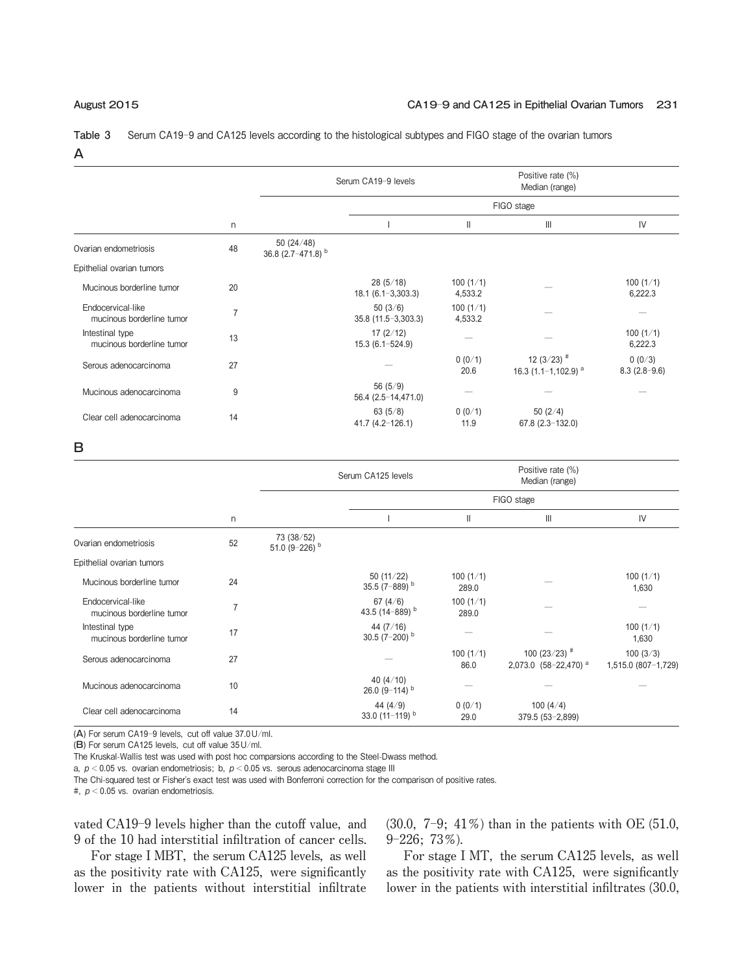### **August** 2015 **CA**19-9 **and CA**125 **in Epithelial Ovarian Tumors** 231

**Table 3** Serum CA19-9 and CA125 levels according to the histological subtypes and FIGO stage of the ovarian tumors A

|    |                                          |                                    |                     | Positive rate (%)<br>Median (range)                  |                          |  |  |
|----|------------------------------------------|------------------------------------|---------------------|------------------------------------------------------|--------------------------|--|--|
| n  |                                          | FIGO stage                         |                     |                                                      |                          |  |  |
|    |                                          |                                    | Ш                   | $\mathbb{H}$                                         | IV                       |  |  |
| 48 | 50 $(24/48)$<br>36.8 $(2.7 - 471.8)^{b}$ |                                    |                     |                                                      |                          |  |  |
|    |                                          |                                    |                     |                                                      |                          |  |  |
| 20 |                                          | 28(5/18)<br>$18.1 (6.1 - 3.303.3)$ | 100(1/1)<br>4,533.2 |                                                      | 100(1/1)<br>6,222.3      |  |  |
| 7  |                                          | 50 $(3/6)$<br>$35.8(11.5-3,303.3)$ | 100(1/1)<br>4,533.2 |                                                      |                          |  |  |
| 13 |                                          | 17(2/12)<br>$15.3(6.1 - 524.9)$    |                     |                                                      | 100(1/1)<br>6,222.3      |  |  |
| 27 |                                          |                                    | 0(0/1)<br>20.6      | 12 (3/23) $*$<br>16.3 $(1.1 - 1.102.9)$ <sup>a</sup> | 0(0/3)<br>$8.3(2.8-9.6)$ |  |  |
| 9  |                                          | 56(5/9)<br>$56.4(2.5 - 14.471.0)$  |                     |                                                      |                          |  |  |
| 14 |                                          | 63 $(5/8)$<br>$41.7(4.2 - 126.1)$  | 0(0/1)<br>11.9      | 50 $(2/4)$<br>$67.8(2.3 - 132.0)$                    |                          |  |  |
|    |                                          |                                    | Serum CA19-9 levels |                                                      |                          |  |  |

B

|                |                                           |                                   | Positive rate (%)<br>Serum CA125 levels<br>Median (range) |                                              |                                 |  |
|----------------|-------------------------------------------|-----------------------------------|-----------------------------------------------------------|----------------------------------------------|---------------------------------|--|
|                |                                           |                                   |                                                           |                                              |                                 |  |
| n              |                                           |                                   | $\mathbf{I}$                                              | $\mathbf{III}$                               | IV                              |  |
| 52             | 73 (38/52)<br>51.0 $(9-226)$ <sup>b</sup> |                                   |                                                           |                                              |                                 |  |
|                |                                           |                                   |                                                           |                                              |                                 |  |
| 24             |                                           | 50(11/22)<br>35.5 (7-889) $b$     | 100(1/1)<br>289.0                                         |                                              | 100(1/1)<br>1,630               |  |
| $\overline{7}$ |                                           | 67 $(4/6)$<br>43.5 (14-889) $b$   | 100(1/1)<br>289.0                                         |                                              |                                 |  |
| 17             |                                           | 44 (7/16)<br>30.5 $(7-200)^{b}$   |                                                           |                                              | 100(1/1)<br>1,630               |  |
| 27             |                                           |                                   | 100(1/1)<br>86.0                                          | 100 (23/23) $*$<br>2,073.0 $(58-22,470)^{a}$ | 100(3/3)<br>1,515.0 (807-1,729) |  |
| 10             |                                           | 40 $(4/10)$<br>26.0 $(9-114)^{b}$ |                                                           |                                              |                                 |  |
| 14             |                                           | 44 (4/9)<br>33.0 $(11-119)^{b}$   | 0(0/1)<br>29.0                                            | 100 $(4/4)$<br>$379.5(53 - 2,899)$           |                                 |  |
|                |                                           |                                   |                                                           |                                              | FIGO stage                      |  |

(A) For serum CA19-9 levels, cut off value 37.0U/ml.

(B) For serum CA125 levels, cut off value 35U/ml.

The Kruskal-Wallis test was used with post hoc comparsions according to the Steel-Dwass method.

a,  $p < 0.05$  vs. ovarian endometriosis; b,  $p < 0.05$  vs. serous adenocarcinoma stage III

The Chi-squared test or Fisher's exact test was used with Bonferroni correction for the comparison of positive rates.

#,  $p < 0.05$  vs. ovarian endometriosis.

**vated CA19**-**9 levels higher than the cutoff value, and 9 of the 10 had interstitial infiltration of cancer cells.**

**(30.0, 7**-**9; 41**オ**) than in the patients with OE (51.0, 9**-**226; 73**オ**).**

**For stage I MBT, the serum CA125 levels, as well as the positivity rate with CA125, were significantly lower in the patients without interstitial infiltrate**

**For stage I MT, the serum CA125 levels, as well as the positivity rate with CA125, were significantly lower in the patients with interstitial infiltrates (30.0,**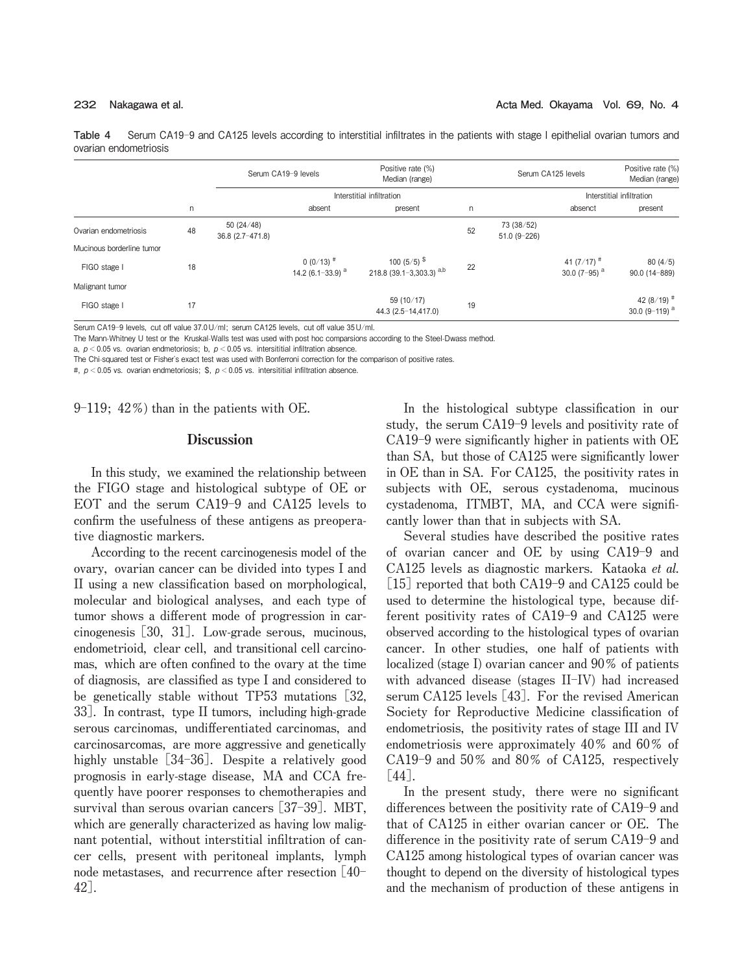**Table 4** Serum CA19-9 and CA125 levels according to interstitial infiltrates in the patients with stage I epithelial ovarian tumors and ovarian endometriosis

|                           |    |                                  | Serum CA19-9 levels                           | Positive rate (%)<br>Median (range)                               | Serum CA125 levels |                             | Positive rate (%)<br>Median (range)                |                                                     |
|---------------------------|----|----------------------------------|-----------------------------------------------|-------------------------------------------------------------------|--------------------|-----------------------------|----------------------------------------------------|-----------------------------------------------------|
|                           |    |                                  |                                               | Interstitial infiltration                                         |                    |                             | Interstitial infiltration                          |                                                     |
|                           | n  |                                  | absent                                        | present                                                           | n                  |                             | absenct                                            | present                                             |
| Ovarian endometriosis     | 48 | 50(24/48)<br>$36.8(2.7 - 471.8)$ |                                               |                                                                   | 52                 | 73 (38/52)<br>$51.0(9-226)$ |                                                    |                                                     |
| Mucinous borderline tumor |    |                                  |                                               |                                                                   |                    |                             |                                                    |                                                     |
| FIGO stage I              | 18 |                                  | $0(0/13)^{4}$<br>14.2 (6.1-33.9) <sup>a</sup> | 100 (5/5) $\frac{\text{S}}{\text{S}}$<br>218.8 (39.1-3,303.3) a,b | 22                 |                             | 41 (7/17) <sup>#</sup><br>30.0 (7-95) <sup>a</sup> | 80(4/5)<br>$90.0(14 - 889)$                         |
| Malignant tumor           |    |                                  |                                               |                                                                   |                    |                             |                                                    |                                                     |
| FIGO stage I              | 17 |                                  |                                               | 59 (10/17)<br>44.3 (2.5-14,417.0)                                 | 19                 |                             |                                                    | 42 (8/19) <sup>#</sup><br>30.0 (9-119) <sup>a</sup> |

Serum CA19-9 levels, cut off value 37.0 U/ml; serum CA125 levels, cut off value 35 U/ml.

The Mann-Whitney U test or the Kruskal-Walls test was used with post hoc comparsions according to the Steel-Dwass method.

a,  $p < 0.05$  vs. ovarian endmetoriosis; b,  $p < 0.05$  vs. intersititial infiltration absence.

The Chi-squared test or Fisher's exact test was used with Bonferroni correction for the comparison of positive rates.

#,  $p < 0.05$  vs. ovarian endmetoriosis; \$,  $p < 0.05$  vs. intersititial infiltration absence.

**9**-**119; 42**オ**) than in the patients with OE.**

### **Discussion**

**In this study, we examined the relationship between the FIGO stage and histological subtype of OE or EOT and the serum CA19**-**9 and CA125 levels to confirm the usefulness of these antigens as preoperative diagnostic markers.**

**According to the recent carcinogenesis model of the ovary, ovarian cancer can be divided into types I and II using a new classification based on morphological, molecular and biological analyses, and each type of tumor shows a different mode of progression in carcinogenesis** [**30, 31**]**. Low**-**grade serous, mucinous, endometrioid, clear cell, and transitional cell carcinomas, which are often confined to the ovary at the time of diagnosis, are classified as type I and considered to be genetically stable without TP53 mutations** [**32, 33**]**. In contrast, type II tumors, including high**-**grade serous carcinomas, undifferentiated carcinomas, and carcinosarcomas, are more aggressive and genetically highly unstable** [**34**-**36**]**. Despite a relatively good prognosis in early**-**stage disease, MA and CCA frequently have poorer responses to chemotherapies and survival than serous ovarian cancers** [**37**-**39**]**. MBT, which are generally characterized as having low malignant potential, without interstitial infiltration of cancer cells, present with peritoneal implants, lymph node metastases, and recurrence after resection** [**40**- **42**]**.**

**In the histological subtype classification in our study, the serum CA19**-**9 levels and positivity rate of CA19**-**9 were significantly higher in patients with OE than SA, but those of CA125 were significantly lower in OE than in SA. For CA125, the positivity rates in subjects with OE, serous cystadenoma, mucinous cystadenoma, ITMBT, MA, and CCA were significantly lower than that in subjects with SA.**

**Several studies have described the positive rates of ovarian cancer and OE by using CA19**-**9 and CA125 levels as diagnostic markers. Kataoka et al.** [**15**] **reported that both CA19**-**9 and CA125 could be used to determine the histological type, because different positivity rates of CA19**-**9 and CA125 were observed according to the histological types of ovarian cancer. In other studies, one half of patients with localized (stage I) ovarian cancer and 90**オ **of patients with advanced disease (stages II**-**IV) had increased serum CA125 levels** [**43**]**. For the revised American Society for Reproductive Medicine classification of endometriosis, the positivity rates of stage III and IV endometriosis were approximately 40**オ **and 60**オ **of CA19**-**9 and 50**オ **and 80**オ **of CA125, respectively** [**44**]**.**

**In the present study, there were no significant differences between the positivity rate of CA19**-**9 and that of CA125 in either ovarian cancer or OE. The difference in the positivity rate of serum CA19**-**9 and CA125 among histological types of ovarian cancer was thought to depend on the diversity of histological types and the mechanism of production of these antigens in**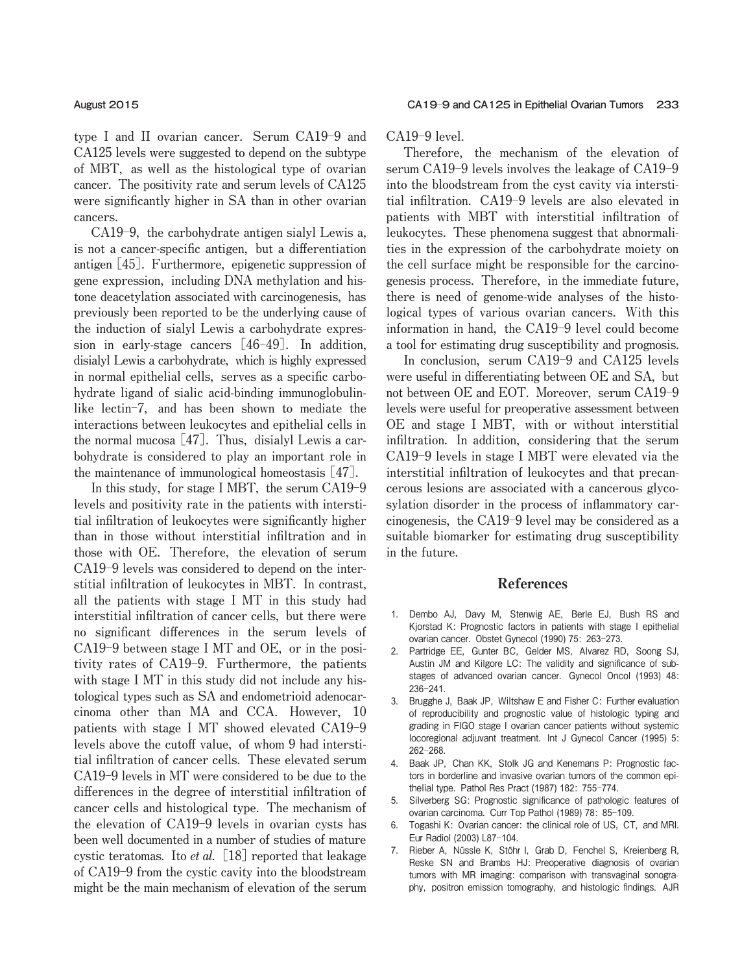**type I and II ovarian cancer. Serum CA19**-**9 and CA125 levels were suggested to depend on the subtype of MBT, as well as the histological type of ovarian cancer. The positivity rate and serum levels of CA125 were significantly higher in SA than in other ovarian cancers.**

**CA19**-**9, the carbohydrate antigen sialyl Lewis a, is not a cancer**-**specific antigen, but a differentiation antigen** [**45**]**. Furthermore, epigenetic suppression of gene expression, including DNA methylation and histone deacetylation associated with carcinogenesis, has previously been reported to be the underlying cause of the induction of sialyl Lewis a carbohydrate expression in early**-**stage cancers** [**46**-**49**]**. In addition, disialyl Lewis a carbohydrate, which is highly expressed in normal epithelial cells, serves as a specific carbohydrate ligand of sialic acid**-**binding immunoglobulinlike lectin**-**7, and has been shown to mediate the interactions between leukocytes and epithelial cells in the normal mucosa** [**47**]**. Thus, disialyl Lewis a carbohydrate is considered to play an important role in the maintenance of immunological homeostasis** [**47**]**.**

**In this study, for stage I MBT, the serum CA19**-**9 levels and positivity rate in the patients with interstitial infiltration of leukocytes were significantly higher than in those without interstitial infiltration and in those with OE. Therefore, the elevation of serum CA19**-**9 levels was considered to depend on the interstitial infiltration of leukocytes in MBT. In contrast, all the patients with stage I MT in this study had interstitial infiltration of cancer cells, but there were no significant differences in the serum levels of CA19**-**9 between stage I MT and OE, or in the positivity rates of CA19**-**9. Furthermore, the patients with stage I MT in this study did not include any histological types such as SA and endometrioid adenocarcinoma other than MA and CCA. However, 10 patients with stage I MT showed elevated CA19**-**9 levels above the cutoff value, of whom 9 had interstitial infiltration of cancer cells. These elevated serum CA19**-**9 levels in MT were considered to be due to the differences in the degree of interstitial infiltration of cancer cells and histological type. The mechanism of the elevation of CA19**-**9 levels in ovarian cysts has been well documented in a number of studies of mature cystic teratomas. Ito et al.** [**18**] **reported that leakage of CA19**-**9 from the cystic cavity into the bloodstream might be the main mechanism of elevation of the serum**

**CA19**-**9 level.**

**Therefore, the mechanism of the elevation of serum CA19**-**9 levels involves the leakage of CA19**-**9 into the bloodstream from the cyst cavity via interstitial infiltration. CA19**-**9 levels are also elevated in patients with MBT with interstitial infiltration of leukocytes. These phenomena suggest that abnormalities in the expression of the carbohydrate moiety on the cell surface might be responsible for the carcinogenesis process. Therefore, in the immediate future, there is need of genome**-**wide analyses of the histological types of various ovarian cancers. With this information in hand, the CA19**-**9 level could become a tool for estimating drug susceptibility and prognosis.**

**In conclusion, serum CA19**-**9 and CA125 levels were useful in differentiating between OE and SA, but not between OE and EOT. Moreover, serum CA19**-**9 levels were useful for preoperative assessment between OE and stage I MBT, with or without interstitial infiltration. In addition, considering that the serum CA19**-**9 levels in stage I MBT were elevated via the interstitial infiltration of leukocytes and that precancerous lesions are associated with a cancerous glycosylation disorder in the process of inflammatory carcinogenesis, the CA19**-**9 level may be considered as a suitable biomarker for estimating drug susceptibility in the future.**

# References

- 1. Dembo AJ, Davy M, Stenwig AE, Berle EJ, Bush RS and Kjorstad K: Prognostic factors in patients with stage I epithelial ovarian cancer. Obstet Gynecol (1990) 75: 263-273.
- 2. Partridge EE, Gunter BC, Gelder MS, Alvarez RD, Soong SJ, Austin JM and Kilgore LC: The validity and significance of substages of advanced ovarian cancer. Gynecol Oncol (1993) 48: 236-241.
- 3. Brugghe J, Baak JP, Wiltshaw E and Fisher C: Further evaluation of reproducibility and prognostic value of histologic typing and grading in FIGO stage I ovarian cancer patients without systemic locoregional adjuvant treatment. Int J Gynecol Cancer (1995) 5: 262-268.
- 4. Baak JP, Chan KK, Stolk JG and Kenemans P: Prognostic factors in borderline and invasive ovarian tumors of the common epithelial type. Pathol Res Pract (1987) 182: 755-774.
- 5. Silverberg SG: Prognostic significance of pathologic features of ovarian carcinoma. Curr Top Pathol (1989) 78: 85-109.
- 6. Togashi K: Ovarian cancer: the clinical role of US, CT, and MRI. Eur Radiol (2003) L87-104.
- 7. Rieber A, Nüssle K, Stöhr I, Grab D, Fenchel S, Kreienberg R, Reske SN and Brambs HJ: Preoperative diagnosis of ovarian tumors with MR imaging: comparison with transvaginal sonography, positron emission tomography, and histologic findings. AJR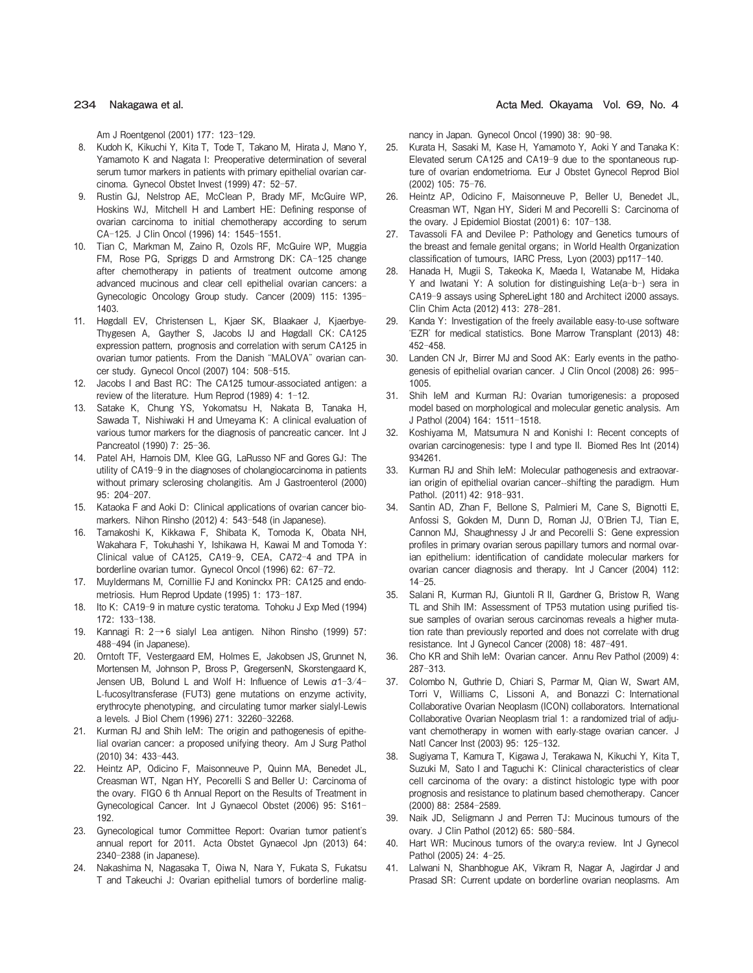Am J Roentgenol (2001) 177: 123-129.

- 8. Kudoh K, Kikuchi Y, Kita T, Tode T, Takano M, Hirata J, Mano Y, Yamamoto K and Nagata I: Preoperative determination of several serum tumor markers in patients with primary epithelial ovarian carcinoma. Gynecol Obstet Invest (1999) 47: 52-57.
- 9. Rustin GJ, Nelstrop AE, McClean P, Brady MF, McGuire WP, Hoskins WJ, Mitchell H and Lambert HE: Defining response of ovarian carcinoma to initial chemotherapy according to serum CA-125. J Clin Oncol (1996) 14: 1545-1551.
- 10. Tian C, Markman M, Zaino R, Ozols RF, McGuire WP, Muggia FM, Rose PG, Spriggs D and Armstrong DK: CA-125 change after chemotherapy in patients of treatment outcome among advanced mucinous and clear cell epithelial ovarian cancers: a Gynecologic Oncology Group study. Cancer (2009) 115: 1395- 1403.
- 11. Høgdall EV, Christensen L, Kjaer SK, Blaakaer J, Kjaerbye-Thygesen A, Gayther S, Jacobs IJ and Høgdall CK: CA125 expression pattern, prognosis and correlation with serum CA125 in ovarian tumor patients. From the Danish "MALOVA" ovarian cancer study. Gynecol Oncol (2007) 104: 508-515.
- 12. Jacobs I and Bast RC: The CA125 tumour-associated antigen: a review of the literature. Hum Reprod (1989) 4: 1-12.
- 13. Satake K, Chung YS, Yokomatsu H, Nakata B, Tanaka H, Sawada T, Nishiwaki H and Umeyama K: A clinical evaluation of various tumor markers for the diagnosis of pancreatic cancer. Int J Pancreatol (1990) 7: 25-36.
- 14. Patel AH, Harnois DM, Klee GG, LaRusso NF and Gores GJ: The utility of CA19-9 in the diagnoses of cholangiocarcinoma in patients without primary sclerosing cholangitis. Am J Gastroenterol (2000) 95: 204-207.
- 15. Kataoka F and Aoki D: Clinical applications of ovarian cancer biomarkers. Nihon Rinsho (2012) 4: 543-548 (in Japanese).
- 16. Tamakoshi K, Kikkawa F, Shibata K, Tomoda K, Obata NH, Wakahara F, Tokuhashi Y, Ishikawa H, Kawai M and Tomoda Y: Clinical value of CA125, CA19-9, CEA, CA72-4 and TPA in borderline ovarian tumor. Gynecol Oncol (1996) 62: 67-72.
- 17. Muyldermans M, Cornillie FJ and Koninckx PR: CA125 and endometriosis. Hum Reprod Update (1995) 1: 173-187.
- 18. Ito K: CA19-9 in mature cystic teratoma. Tohoku J Exp Med (1994) 172: 133-138.
- 19. Kannagi R: 2→6 sialyl Lea antigen. Nihon Rinsho (1999) 57: 488-494 (in Japanese).
- 20. Orntoft TF, Vestergaard EM, Holmes E, Jakobsen JS, Grunnet N, Mortensen M, Johnson P, Bross P, GregersenN, Skorstengaard K, Jensen UB, Bolund L and Wolf H: Influence of Lewis α1-3/4- L-fucosyltransferase (FUT3) gene mutations on enzyme activity, erythrocyte phenotyping, and circulating tumor marker sialyl-Lewis a levels. J Biol Chem (1996) 271: 32260-32268.
- 21. Kurman RJ and Shih IeM: The origin and pathogenesis of epithelial ovarian cancer: a proposed unifying theory. Am J Surg Pathol (2010) 34: 433-443.
- 22. Heintz AP, Odicino F, Maisonneuve P, Quinn MA, Benedet JL, Creasman WT, Ngan HY, Pecorelli S and Beller U: Carcinoma of the ovary. FIGO 6 th Annual Report on the Results of Treatment in Gynecological Cancer. Int J Gynaecol Obstet (2006) 95: S161- 192.
- 23. Gynecological tumor Committee Report: Ovarian tumor patient's annual report for 2011. Acta Obstet Gynaecol Jpn (2013) 64: 2340-2388 (in Japanese).
- 24. Nakashima N, Nagasaka T, Oiwa N, Nara Y, Fukata S, Fukatsu T and Takeuchi J: Ovarian epithelial tumors of borderline malig-

234 **Nakagawa et al. Acta Med. Okayama Vol.** 69**, No.** 4

nancy in Japan. Gynecol Oncol (1990) 38: 90-98.

- 25. Kurata H, Sasaki M, Kase H, Yamamoto Y, Aoki Y and Tanaka K: Elevated serum CA125 and CA19-9 due to the spontaneous rupture of ovarian endometrioma. Eur J Obstet Gynecol Reprod Biol (2002) 105: 75-76.
- 26. Heintz AP, Odicino F, Maisonneuve P, Beller U, Benedet JL, Creasman WT, Ngan HY, Sideri M and Pecorelli S: Carcinoma of the ovary. J Epidemiol Biostat (2001) 6: 107-138.
- 27. Tavassoli FA and Devilee P: Pathology and Genetics tumours of the breast and female genital organs; in World Health Organization classification of tumours, IARC Press, Lyon (2003) pp117-140.
- 28. Hanada H, Mugii S, Takeoka K, Maeda I, Watanabe M, Hidaka Y and Iwatani Y: A solution for distinguishing Le(a-b-) sera in CA19-9 assays using SphereLight 180 and Architect i2000 assays. Clin Chim Acta (2012) 413: 278-281.
- 29. Kanda Y: Investigation of the freely available easy-to-use software ʻEZR' for medical statistics. Bone Marrow Transplant (2013) 48: 452-458.
- 30. Landen CN Jr, Birrer MJ and Sood AK: Early events in the pathogenesis of epithelial ovarian cancer. J Clin Oncol (2008) 26: 995- 1005.
- 31. Shih IeM and Kurman RJ: Ovarian tumorigenesis: a proposed model based on morphological and molecular genetic analysis. Am J Pathol (2004) 164: 1511-1518.
- 32. Koshiyama M, Matsumura N and Konishi I: Recent concepts of ovarian carcinogenesis: type I and type II. Biomed Res Int (2014) 934261.
- 33. Kurman RJ and Shih IeM: Molecular pathogenesis and extraovarian origin of epithelial ovarian cancer--shifting the paradigm. Hum Pathol. (2011) 42: 918-931.
- 34. Santin AD, Zhan F, Bellone S, Palmieri M, Cane S, Bignotti E, Anfossi S, Gokden M, Dunn D, Roman JJ, O'Brien TJ, Tian E, Cannon MJ, Shaughnessy J Jr and Pecorelli S: Gene expression profiles in primary ovarian serous papillary tumors and normal ovarian epithelium: identification of candidate molecular markers for ovarian cancer diagnosis and therapy. Int J Cancer (2004) 112: 14-25.
- 35. Salani R, Kurman RJ, Giuntoli R II, Gardner G, Bristow R, Wang TL and Shih IM: Assessment of TP53 mutation using purified tissue samples of ovarian serous carcinomas reveals a higher mutation rate than previously reported and does not correlate with drug resistance. Int J Gynecol Cancer (2008) 18: 487-491.
- 36. Cho KR and Shih IeM: Ovarian cancer. Annu Rev Pathol (2009) 4: 287-313.
- 37. Colombo N, Guthrie D, Chiari S, Parmar M, Qian W, Swart AM, Torri V, Williams C, Lissoni A, and Bonazzi C: International Collaborative Ovarian Neoplasm (ICON) collaborators. International Collaborative Ovarian Neoplasm trial 1: a randomized trial of adjuvant chemotherapy in women with early-stage ovarian cancer. J Natl Cancer Inst (2003) 95: 125-132.
- 38. Sugiyama T, Kamura T, Kigawa J, Terakawa N, Kikuchi Y, Kita T, Suzuki M, Sato I and Taguchi K: Clinical characteristics of clear cell carcinoma of the ovary: a distinct histologic type with poor prognosis and resistance to platinum based chemotherapy. Cancer (2000) 88: 2584-2589.
- 39. Naik JD, Seligmann J and Perren TJ: Mucinous tumours of the ovary. J Clin Pathol (2012) 65: 580-584.
- 40. Hart WR: Mucinous tumors of the ovary:a review. Int J Gynecol Pathol (2005) 24: 4-25.
- 41. Lalwani N, Shanbhogue AK, Vikram R, Nagar A, Jagirdar J and Prasad SR: Current update on borderline ovarian neoplasms. Am